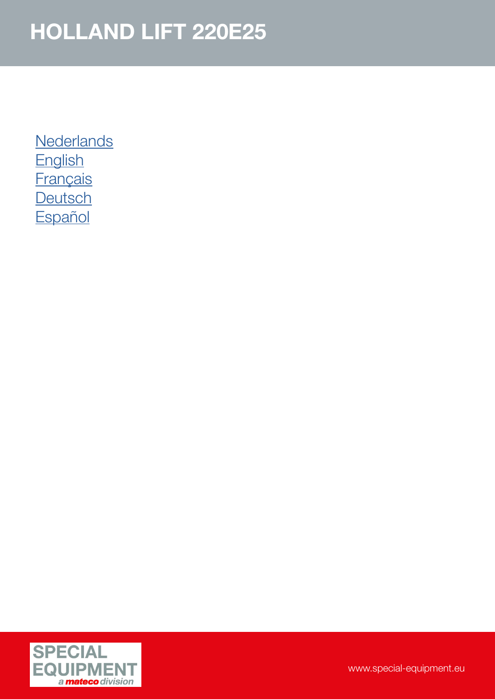**[Nederlands](#page-1-0) [English](#page-2-0) [Français](#page-3-0) [Deutsch](#page-4-0) [Español](#page-5-0)** 

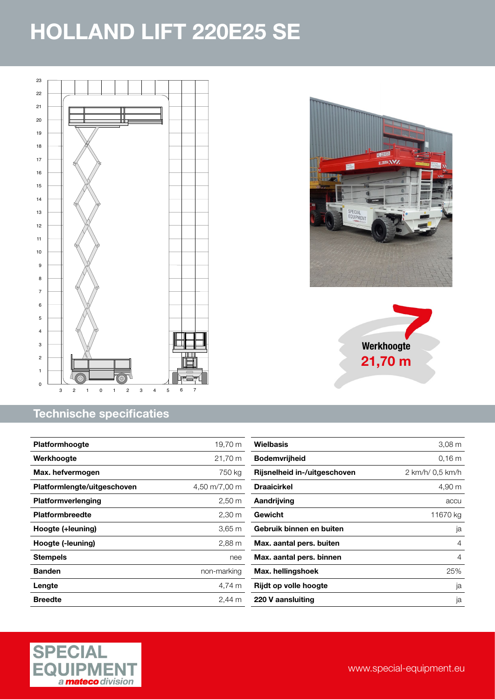<span id="page-1-0"></span>

#### Technische specificaties







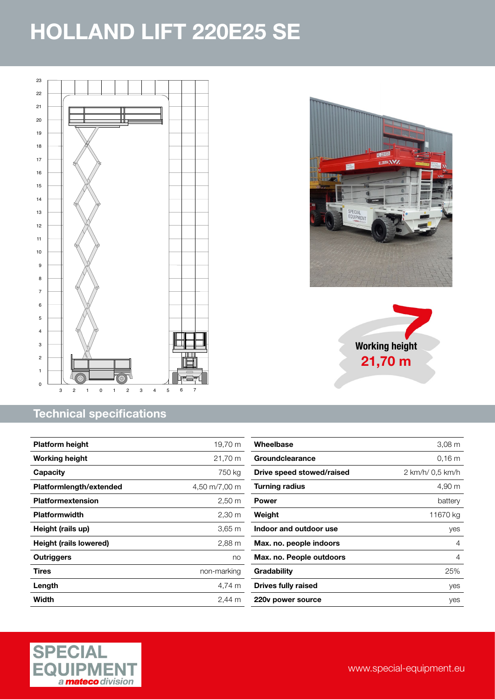<span id="page-2-0"></span>

### Technical specifications

| <b>Platform height</b>        | 19,70 m              |
|-------------------------------|----------------------|
| <b>Working height</b>         | 21,70 m              |
| Capacity                      | 750 kg               |
| Platformlength/extended       | 4,50 m/7,00 m        |
| <b>Platformextension</b>      | $2,50 \, \text{m}$   |
| <b>Platformwidth</b>          | $2,30 \; \mathrm{m}$ |
| Height (rails up)             | 3,65 m               |
| <b>Height (rails lowered)</b> | 2,88 m               |
| Outriggers                    | no                   |
| <b>Tires</b>                  | non-marking          |
| Length                        | 4.74 m               |
| Width                         | 2.44 m               |

| Wheelbase                 | $3,08 \text{ m}$ |
|---------------------------|------------------|
| Groundclearance           | 0.16 m           |
| Drive speed stowed/raised | 2 km/h/ 0.5 km/h |
| <b>Turning radius</b>     | 4,90 m           |
| Power                     | battery          |
| Weight                    | 11670 kg         |
| Indoor and outdoor use    | yes              |
| Max. no. people indoors   | 4                |
| Max. no. People outdoors  | 4                |
| Gradability               | 25%              |
| Drives fully raised       | yes              |
| 220y power source         | ves              |





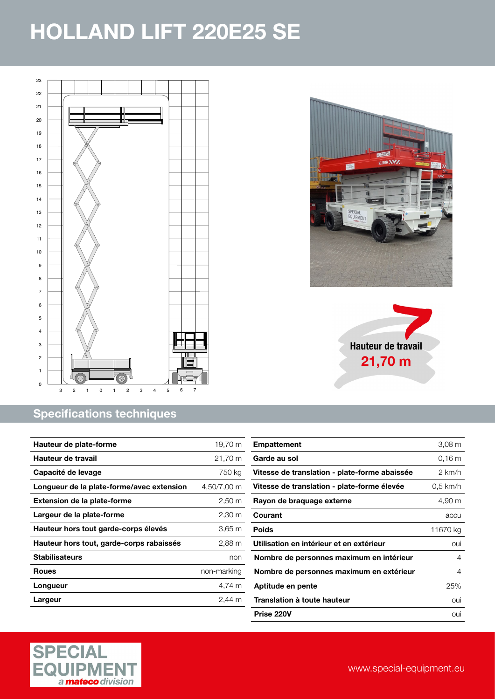<span id="page-3-0"></span>

#### Specifications techniques

| Hauteur de plate-forme                    | 19,70 m              |
|-------------------------------------------|----------------------|
| Hauteur de travail                        | 21,70 m              |
| Capacité de levage                        | 750 ka               |
| Longueur de la plate-forme/avec extension | 4,50/7,00 m          |
| <b>Extension de la plate-forme</b>        | $2,50 \; \mathrm{m}$ |
| Largeur de la plate-forme                 | 2,30 m               |
| Hauteur hors tout garde-corps élevés      | 3,65 m               |
| Hauteur hors tout, garde-corps rabaissés  | 2,88 m               |
| <b>Stabilisateurs</b>                     | non                  |
| <b>Roues</b>                              | non-marking          |
| Longueur                                  | 4.74 m               |
| Largeur                                   | 2.44 m               |







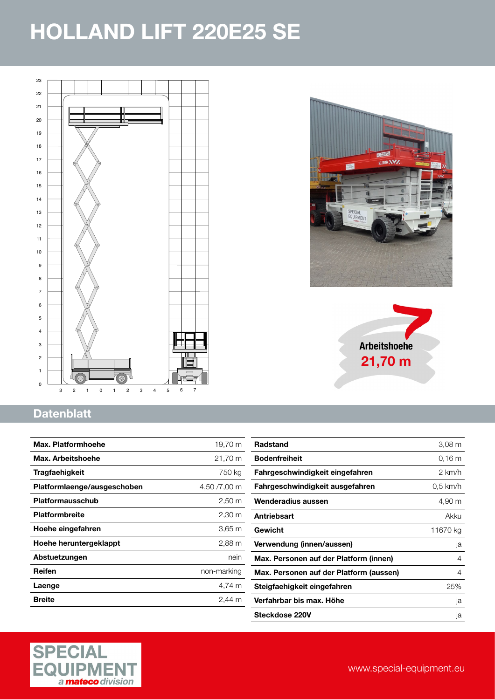<span id="page-4-0"></span>





### **Datenblatt**

| Max. Platformhoehe          | 19,70 m              |
|-----------------------------|----------------------|
| Max. Arbeitshoehe           | 21,70 m              |
| Tragfaehigkeit              | 750 kg               |
| Platformlaenge/ausgeschoben | 4,50 /7,00 m         |
| Platformausschub            | $2,50 \; \mathrm{m}$ |
| <b>Platformbreite</b>       | $2,30 \, \text{m}$   |
| Hoehe eingefahren           | 3,65 m               |
| Hoehe heruntergeklappt      | $2,88 \, \text{m}$   |
| Abstuetzungen               | nein                 |
| Reifen                      | non-marking          |
| Laenge                      | 4,74 m               |
| <b>Breite</b>               | 2.44<br>m            |

| <b>Radstand</b>                         | 3,08 m           |
|-----------------------------------------|------------------|
| <b>Bodenfreiheit</b>                    | 0.16 m           |
| Fahrgeschwindigkeit eingefahren         | $2 \text{ km/h}$ |
| Fahrgeschwindigkeit ausgefahren         | $0.5$ km/h       |
| Wenderadius aussen                      | 4,90 m           |
| <b>Antriebsart</b>                      | Akku             |
| Gewicht                                 | 11670 kg         |
| Verwendung (innen/aussen)               | ja               |
| Max. Personen auf der Platform (innen)  | 4                |
| Max. Personen auf der Platform (aussen) | 4                |
| Steigfaehigkeit eingefahren             | 25%              |
| Verfahrbar bis max. Höhe                | ja               |
| Steckdose 220V                          | ja               |
|                                         |                  |